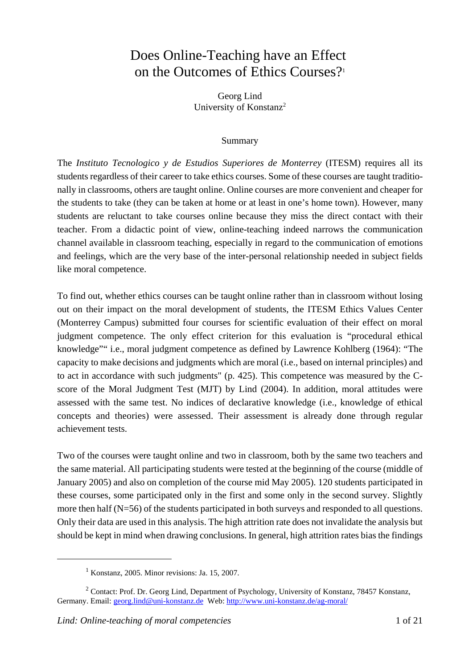# Does Online-Teaching have an Effect on the Outcomes of Ethics Courses?<sup>1</sup>

Georg Lind University of Konstanz<sup>2</sup>

### Summary

The *Instituto Tecnologico y de Estudios Superiores de Monterrey* (ITESM) requires all its students regardless of their career to take ethics courses. Some of these courses are taught traditionally in classrooms, others are taught online. Online courses are more convenient and cheaper for the students to take (they can be taken at home or at least in one's home town). However, many students are reluctant to take courses online because they miss the direct contact with their teacher. From a didactic point of view, online-teaching indeed narrows the communication channel available in classroom teaching, especially in regard to the communication of emotions and feelings, which are the very base of the inter-personal relationship needed in subject fields like moral competence.

To find out, whether ethics courses can be taught online rather than in classroom without losing out on their impact on the moral development of students, the ITESM Ethics Values Center (Monterrey Campus) submitted four courses for scientific evaluation of their effect on moral judgment competence. The only effect criterion for this evaluation is "procedural ethical knowledge"" i.e., moral judgment competence as defined by Lawrence Kohlberg (1964): "The capacity to make decisions and judgments which are moral (i.e., based on internal principles) and to act in accordance with such judgments" (p. 425). This competence was measured by the Cscore of the Moral Judgment Test (MJT) by Lind (2004). In addition, moral attitudes were assessed with the same test. No indices of declarative knowledge (i.e., knowledge of ethical concepts and theories) were assessed. Their assessment is already done through regular achievement tests.

Two of the courses were taught online and two in classroom, both by the same two teachers and the same material. All participating students were tested at the beginning of the course (middle of January 2005) and also on completion of the course mid May 2005). 120 students participated in these courses, some participated only in the first and some only in the second survey. Slightly more then half (N=56) of the students participated in both surveys and responded to all questions. Only their data are used in this analysis. The high attrition rate does not invalidate the analysis but should be kept in mind when drawing conclusions. In general, high attrition rates bias the findings

<sup>1</sup> Konstanz, 2005. Minor revisions: Ja. 15, 2007.

<sup>&</sup>lt;sup>2</sup> Contact: Prof. Dr. Georg Lind, Department of Psychology, University of Konstanz, 78457 Konstanz, Germany. Email: georg.lind@uni-konstanz.de Web: http://www.uni-konstanz.de/ag-moral/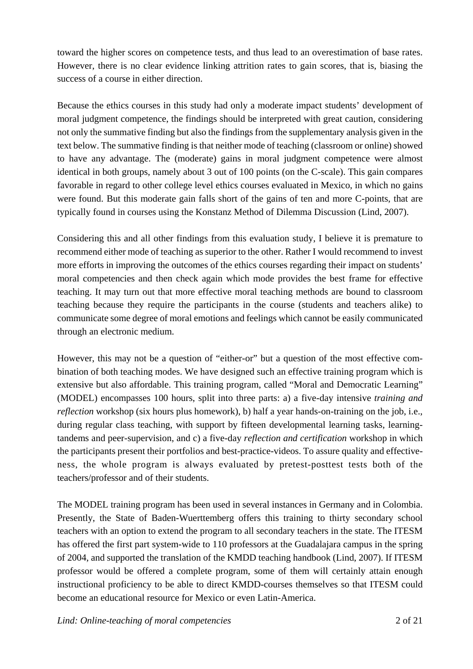toward the higher scores on competence tests, and thus lead to an overestimation of base rates. However, there is no clear evidence linking attrition rates to gain scores, that is, biasing the success of a course in either direction.

Because the ethics courses in this study had only a moderate impact students' development of moral judgment competence, the findings should be interpreted with great caution, considering not only the summative finding but also the findings from the supplementary analysis given in the text below. The summative finding is that neither mode of teaching (classroom or online) showed to have any advantage. The (moderate) gains in moral judgment competence were almost identical in both groups, namely about 3 out of 100 points (on the C-scale). This gain compares favorable in regard to other college level ethics courses evaluated in Mexico, in which no gains were found. But this moderate gain falls short of the gains of ten and more C-points, that are typically found in courses using the Konstanz Method of Dilemma Discussion (Lind, 2007).

Considering this and all other findings from this evaluation study, I believe it is premature to recommend either mode of teaching as superior to the other. Rather I would recommend to invest more efforts in improving the outcomes of the ethics courses regarding their impact on students' moral competencies and then check again which mode provides the best frame for effective teaching. It may turn out that more effective moral teaching methods are bound to classroom teaching because they require the participants in the course (students and teachers alike) to communicate some degree of moral emotions and feelings which cannot be easily communicated through an electronic medium.

However, this may not be a question of "either-or" but a question of the most effective combination of both teaching modes. We have designed such an effective training program which is extensive but also affordable. This training program, called "Moral and Democratic Learning" (MODEL) encompasses 100 hours, split into three parts: a) a five-day intensive *training and reflection* workshop (six hours plus homework), b) half a year hands-on-training on the job, i.e., during regular class teaching, with support by fifteen developmental learning tasks, learningtandems and peer-supervision, and c) a five-day *reflection and certification* workshop in which the participants present their portfolios and best-practice-videos. To assure quality and effectiveness, the whole program is always evaluated by pretest-posttest tests both of the teachers/professor and of their students.

The MODEL training program has been used in several instances in Germany and in Colombia. Presently, the State of Baden-Wuerttemberg offers this training to thirty secondary school teachers with an option to extend the program to all secondary teachers in the state. The ITESM has offered the first part system-wide to 110 professors at the Guadalajara campus in the spring of 2004, and supported the translation of the KMDD teaching handbook (Lind, 2007). If ITESM professor would be offered a complete program, some of them will certainly attain enough instructional proficiency to be able to direct KMDD-courses themselves so that ITESM could become an educational resource for Mexico or even Latin-America.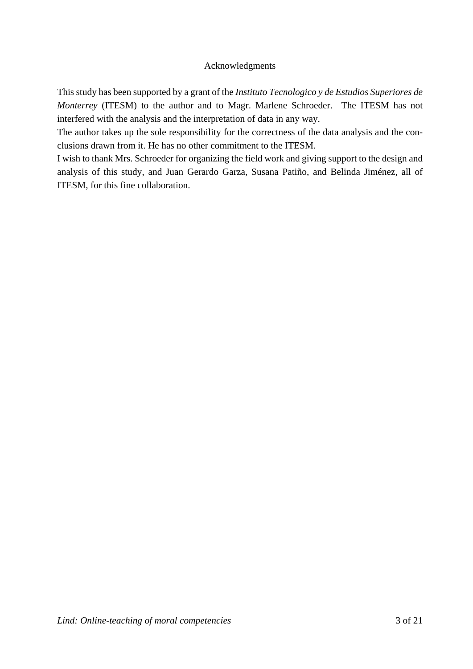## Acknowledgments

This study has been supported by a grant of the *Instituto Tecnologico y de Estudios Superiores de Monterrey* (ITESM) to the author and to Magr. Marlene Schroeder. The ITESM has not interfered with the analysis and the interpretation of data in any way.

The author takes up the sole responsibility for the correctness of the data analysis and the conclusions drawn from it. He has no other commitment to the ITESM.

I wish to thank Mrs. Schroeder for organizing the field work and giving support to the design and analysis of this study, and Juan Gerardo Garza, Susana Patiño, and Belinda Jiménez, all of ITESM, for this fine collaboration.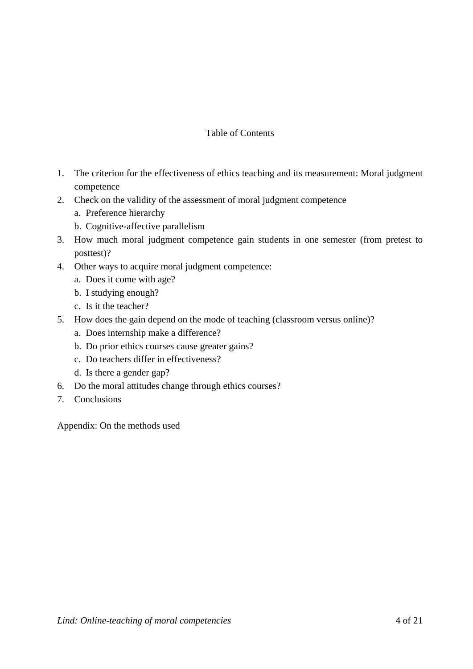## Table of Contents

- 1. The criterion for the effectiveness of ethics teaching and its measurement: Moral judgment competence
- 2. Check on the validity of the assessment of moral judgment competence
	- a. Preference hierarchy
	- b. Cognitive-affective parallelism
- 3. How much moral judgment competence gain students in one semester (from pretest to posttest)?
- 4. Other ways to acquire moral judgment competence:
	- a. Does it come with age?
	- b. I studying enough?
	- c. Is it the teacher?
- 5. How does the gain depend on the mode of teaching (classroom versus online)?
	- a. Does internship make a difference?
	- b. Do prior ethics courses cause greater gains?
	- c. Do teachers differ in effectiveness?
	- d. Is there a gender gap?
- 6. Do the moral attitudes change through ethics courses?
- 7. Conclusions

Appendix: On the methods used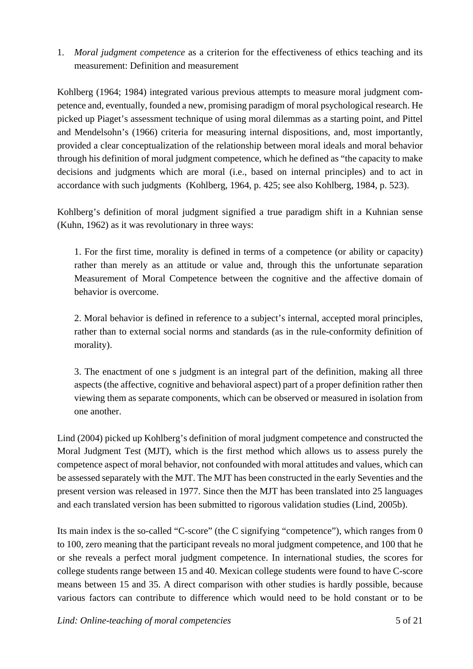## 1. *Moral judgment competence* as a criterion for the effectiveness of ethics teaching and its measurement: Definition and measurement

Kohlberg (1964; 1984) integrated various previous attempts to measure moral judgment competence and, eventually, founded a new, promising paradigm of moral psychological research. He picked up Piaget's assessment technique of using moral dilemmas as a starting point, and Pittel and Mendelsohn's (1966) criteria for measuring internal dispositions, and, most importantly, provided a clear conceptualization of the relationship between moral ideals and moral behavior through his definition of moral judgment competence, which he defined as "the capacity to make decisions and judgments which are moral (i.e., based on internal principles) and to act in accordance with such judgments (Kohlberg, 1964, p. 425; see also Kohlberg, 1984, p. 523).

Kohlberg's definition of moral judgment signified a true paradigm shift in a Kuhnian sense (Kuhn, 1962) as it was revolutionary in three ways:

1. For the first time, morality is defined in terms of a competence (or ability or capacity) rather than merely as an attitude or value and, through this the unfortunate separation Measurement of Moral Competence between the cognitive and the affective domain of behavior is overcome.

2. Moral behavior is defined in reference to a subject's internal, accepted moral principles, rather than to external social norms and standards (as in the rule-conformity definition of morality).

3. The enactment of one s judgment is an integral part of the definition, making all three aspects (the affective, cognitive and behavioral aspect) part of a proper definition rather then viewing them as separate components, which can be observed or measured in isolation from one another.

Lind (2004) picked up Kohlberg's definition of moral judgment competence and constructed the Moral Judgment Test (MJT), which is the first method which allows us to assess purely the competence aspect of moral behavior, not confounded with moral attitudes and values, which can be assessed separately with the MJT. The MJT has been constructed in the early Seventies and the present version was released in 1977. Since then the MJT has been translated into 25 languages and each translated version has been submitted to rigorous validation studies (Lind, 2005b).

Its main index is the so-called "C-score" (the C signifying "competence"), which ranges from 0 to 100, zero meaning that the participant reveals no moral judgment competence, and 100 that he or she reveals a perfect moral judgment competence. In international studies, the scores for college students range between 15 and 40. Mexican college students were found to have C-score means between 15 and 35. A direct comparison with other studies is hardly possible, because various factors can contribute to difference which would need to be hold constant or to be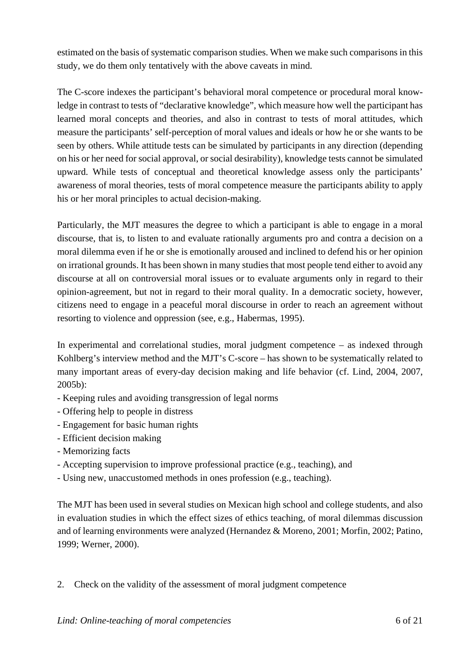estimated on the basis of systematic comparison studies. When we make such comparisons in this study, we do them only tentatively with the above caveats in mind.

The C-score indexes the participant's behavioral moral competence or procedural moral knowledge in contrast to tests of "declarative knowledge", which measure how well the participant has learned moral concepts and theories, and also in contrast to tests of moral attitudes, which measure the participants' self-perception of moral values and ideals or how he or she wants to be seen by others. While attitude tests can be simulated by participants in any direction (depending on his or her need for social approval, or social desirability), knowledge tests cannot be simulated upward. While tests of conceptual and theoretical knowledge assess only the participants' awareness of moral theories, tests of moral competence measure the participants ability to apply his or her moral principles to actual decision-making.

Particularly, the MJT measures the degree to which a participant is able to engage in a moral discourse, that is, to listen to and evaluate rationally arguments pro and contra a decision on a moral dilemma even if he or she is emotionally aroused and inclined to defend his or her opinion on irrational grounds. It has been shown in many studies that most people tend either to avoid any discourse at all on controversial moral issues or to evaluate arguments only in regard to their opinion-agreement, but not in regard to their moral quality. In a democratic society, however, citizens need to engage in a peaceful moral discourse in order to reach an agreement without resorting to violence and oppression (see, e.g., Habermas, 1995).

In experimental and correlational studies, moral judgment competence – as indexed through Kohlberg's interview method and the MJT's C-score – has shown to be systematically related to many important areas of every-day decision making and life behavior (cf. Lind, 2004, 2007, 2005b):

- Keeping rules and avoiding transgression of legal norms
- Offering help to people in distress
- Engagement for basic human rights
- Efficient decision making
- Memorizing facts
- Accepting supervision to improve professional practice (e.g., teaching), and
- Using new, unaccustomed methods in ones profession (e.g., teaching).

The MJT has been used in several studies on Mexican high school and college students, and also in evaluation studies in which the effect sizes of ethics teaching, of moral dilemmas discussion and of learning environments were analyzed (Hernandez & Moreno, 2001; Morfin, 2002; Patino, 1999; Werner, 2000).

2. Check on the validity of the assessment of moral judgment competence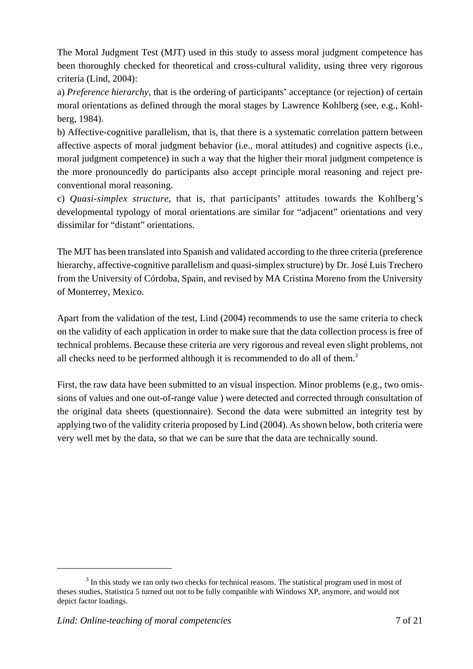The Moral Judgment Test (MJT) used in this study to assess moral judgment competence has been thoroughly checked for theoretical and cross-cultural validity, using three very rigorous criteria (Lind, 2004):

a) *Preference hierarchy*, that is the ordering of participants' acceptance (or rejection) of certain moral orientations as defined through the moral stages by Lawrence Kohlberg (see, e.g., Kohlberg, 1984).

b) Affective-cognitive parallelism, that is, that there is a systematic correlation pattern between affective aspects of moral judgment behavior (i.e., moral attitudes) and cognitive aspects (i.e., moral judgment competence) in such a way that the higher their moral judgment competence is the more pronouncedly do participants also accept principle moral reasoning and reject preconventional moral reasoning.

c) *Quasi-simplex structure*, that is, that participants' attitudes towards the Kohlberg's developmental typology of moral orientations are similar for "adjacent" orientations and very dissimilar for "distant" orientations.

The MJT has been translated into Spanish and validated according to the three criteria (preference hierarchy, affective-cognitive parallelism and quasi-simplex structure) by Dr. José Luis Trechero from the University of Córdoba, Spain, and revised by MA Cristina Moreno from the University of Monterrey, Mexico.

Apart from the validation of the test, Lind (2004) recommends to use the same criteria to check on the validity of each application in order to make sure that the data collection process is free of technical problems. Because these criteria are very rigorous and reveal even slight problems, not all checks need to be performed although it is recommended to do all of them.<sup>3</sup>

First, the raw data have been submitted to an visual inspection. Minor problems (e.g., two omissions of values and one out-of-range value ) were detected and corrected through consultation of the original data sheets (questionnaire). Second the data were submitted an integrity test by applying two of the validity criteria proposed by Lind (2004). As shown below, both criteria were very well met by the data, so that we can be sure that the data are technically sound.

 $3$  In this study we ran only two checks for technical reasons. The statistical program used in most of theses studies, Statistica 5 turned out not to be fully compatible with Windows XP, anymore, and would not depict factor loadings.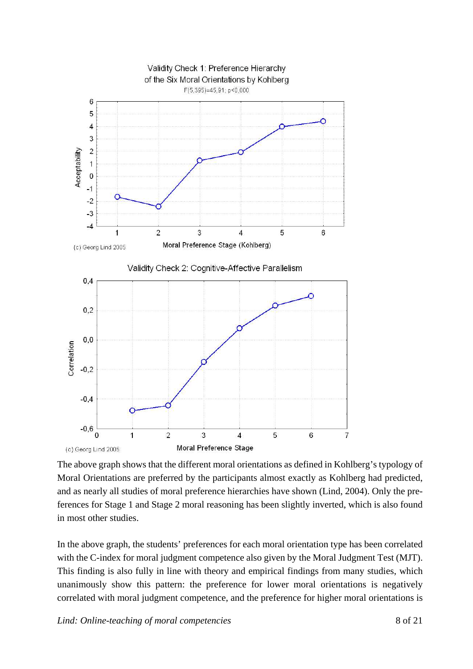

The above graph shows that the different moral orientations as defined in Kohlberg's typology of Moral Orientations are preferred by the participants almost exactly as Kohlberg had predicted, and as nearly all studies of moral preference hierarchies have shown (Lind, 2004). Only the preferences for Stage 1 and Stage 2 moral reasoning has been slightly inverted, which is also found in most other studies.

In the above graph, the students' preferences for each moral orientation type has been correlated with the C-index for moral judgment competence also given by the Moral Judgment Test (MJT). This finding is also fully in line with theory and empirical findings from many studies, which unanimously show this pattern: the preference for lower moral orientations is negatively correlated with moral judgment competence, and the preference for higher moral orientations is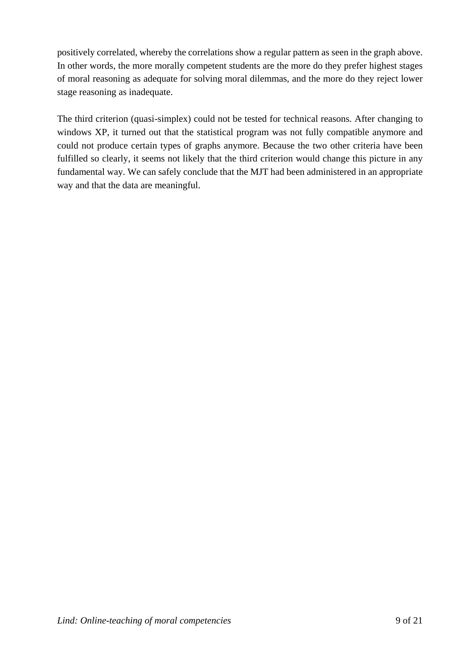positively correlated, whereby the correlations show a regular pattern as seen in the graph above. In other words, the more morally competent students are the more do they prefer highest stages of moral reasoning as adequate for solving moral dilemmas, and the more do they reject lower stage reasoning as inadequate.

The third criterion (quasi-simplex) could not be tested for technical reasons. After changing to windows XP, it turned out that the statistical program was not fully compatible anymore and could not produce certain types of graphs anymore. Because the two other criteria have been fulfilled so clearly, it seems not likely that the third criterion would change this picture in any fundamental way. We can safely conclude that the MJT had been administered in an appropriate way and that the data are meaningful.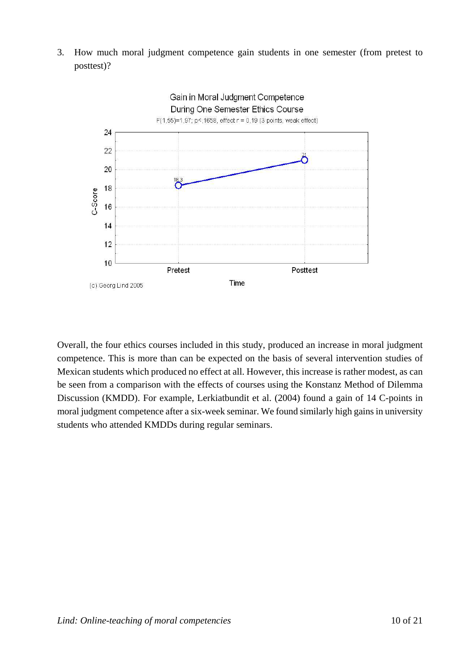3. How much moral judgment competence gain students in one semester (from pretest to posttest)?



Overall, the four ethics courses included in this study, produced an increase in moral judgment competence. This is more than can be expected on the basis of several intervention studies of Mexican students which produced no effect at all. However, this increase is rather modest, as can be seen from a comparison with the effects of courses using the Konstanz Method of Dilemma Discussion (KMDD). For example, Lerkiatbundit et al. (2004) found a gain of 14 C-points in moral judgment competence after a six-week seminar. We found similarly high gains in university students who attended KMDDs during regular seminars.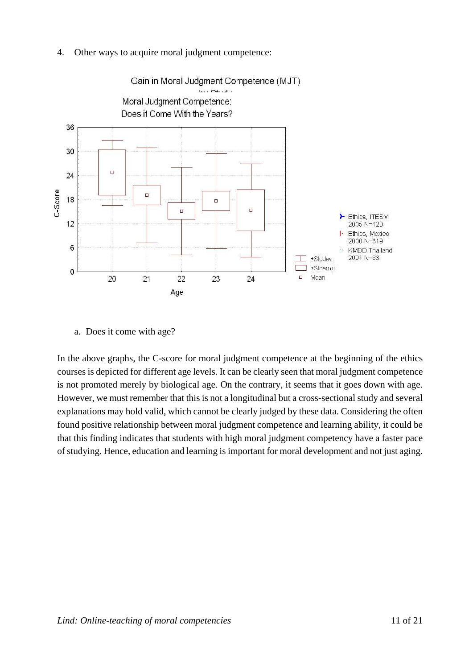4. Other ways to acquire moral judgment competence:



a. Does it come with age?

In the above graphs, the C-score for moral judgment competence at the beginning of the ethics courses is depicted for different age levels. It can be clearly seen that moral judgment competence is not promoted merely by biological age. On the contrary, it seems that it goes down with age. However, we must remember that this is not a longitudinal but a cross-sectional study and several explanations may hold valid, which cannot be clearly judged by these data. Considering the often found positive relationship between moral judgment competence and learning ability, it could be that this finding indicates that students with high moral judgment competency have a faster pace of studying. Hence, education and learning is important for moral development and not just aging.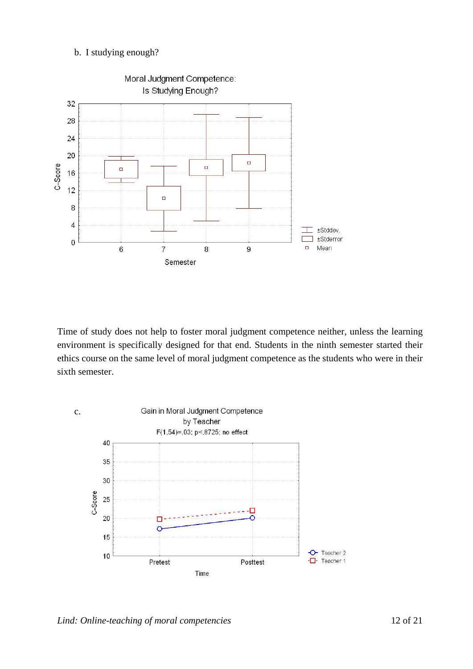### b. I studying enough?



Time of study does not help to foster moral judgment competence neither, unless the learning environment is specifically designed for that end. Students in the ninth semester started their ethics course on the same level of moral judgment competence as the students who were in their sixth semester.

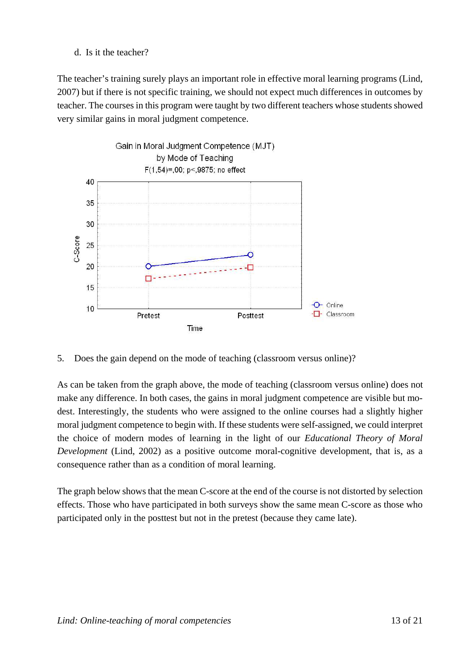d. Is it the teacher?

The teacher's training surely plays an important role in effective moral learning programs (Lind, 2007) but if there is not specific training, we should not expect much differences in outcomes by teacher. The courses in this program were taught by two different teachers whose students showed very similar gains in moral judgment competence.



5. Does the gain depend on the mode of teaching (classroom versus online)?

As can be taken from the graph above, the mode of teaching (classroom versus online) does not make any difference. In both cases, the gains in moral judgment competence are visible but modest. Interestingly, the students who were assigned to the online courses had a slightly higher moral judgment competence to begin with. If these students were self-assigned, we could interpret the choice of modern modes of learning in the light of our *Educational Theory of Moral Development* (Lind, 2002) as a positive outcome moral-cognitive development, that is, as a consequence rather than as a condition of moral learning.

The graph below shows that the mean C-score at the end of the course is not distorted by selection effects. Those who have participated in both surveys show the same mean C-score as those who participated only in the posttest but not in the pretest (because they came late).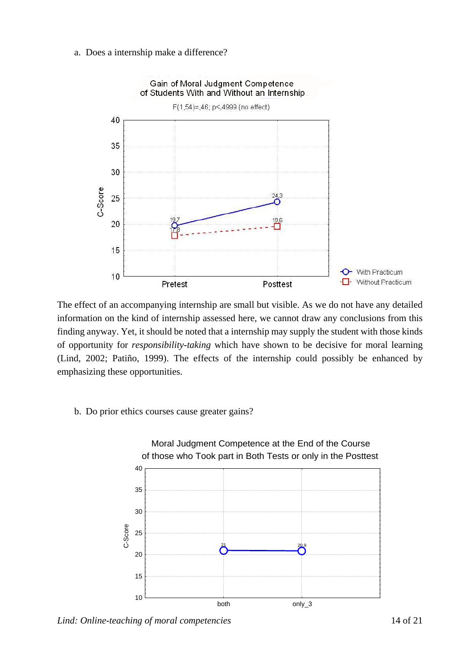a. Does a internship make a difference?



The effect of an accompanying internship are small but visible. As we do not have any detailed information on the kind of internship assessed here, we cannot draw any conclusions from this finding anyway. Yet, it should be noted that a internship may supply the student with those kinds of opportunity for *responsibility-taking* which have shown to be decisive for moral learning (Lind, 2002; Patiño, 1999). The effects of the internship could possibly be enhanced by emphasizing these opportunities.

#### b. Do prior ethics courses cause greater gains?

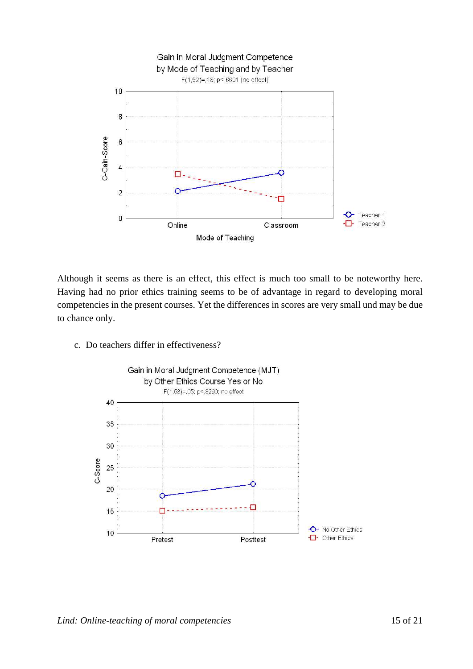

Although it seems as there is an effect, this effect is much too small to be noteworthy here. Having had no prior ethics training seems to be of advantage in regard to developing moral competencies in the present courses. Yet the differences in scores are very small und may be due to chance only.

c. Do teachers differ in effectiveness?

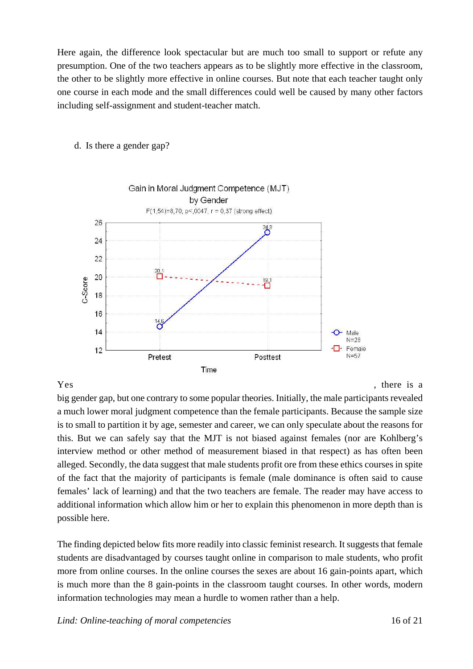Here again, the difference look spectacular but are much too small to support or refute any presumption. One of the two teachers appears as to be slightly more effective in the classroom, the other to be slightly more effective in online courses. But note that each teacher taught only one course in each mode and the small differences could well be caused by many other factors including self-assignment and student-teacher match.



#### d. Is there a gender gap?

big gender gap, but one contrary to some popular theories. Initially, the male participants revealed a much lower moral judgment competence than the female participants. Because the sample size is to small to partition it by age, semester and career, we can only speculate about the reasons for this. But we can safely say that the MJT is not biased against females (nor are Kohlberg's interview method or other method of measurement biased in that respect) as has often been alleged. Secondly, the data suggest that male students profit ore from these ethics courses in spite of the fact that the majority of participants is female (male dominance is often said to cause females' lack of learning) and that the two teachers are female. The reader may have access to additional information which allow him or her to explain this phenomenon in more depth than is possible here.

The finding depicted below fits more readily into classic feminist research. It suggests that female students are disadvantaged by courses taught online in comparison to male students, who profit more from online courses. In the online courses the sexes are about 16 gain-points apart, which is much more than the 8 gain-points in the classroom taught courses. In other words, modern information technologies may mean a hurdle to women rather than a help.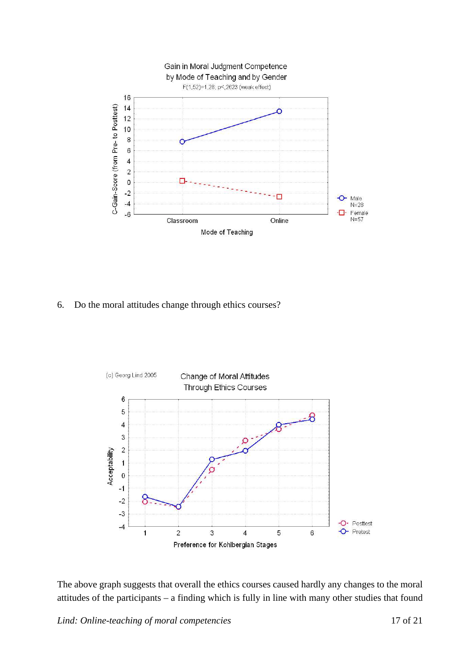

6. Do the moral attitudes change through ethics courses?



The above graph suggests that overall the ethics courses caused hardly any changes to the moral attitudes of the participants – a finding which is fully in line with many other studies that found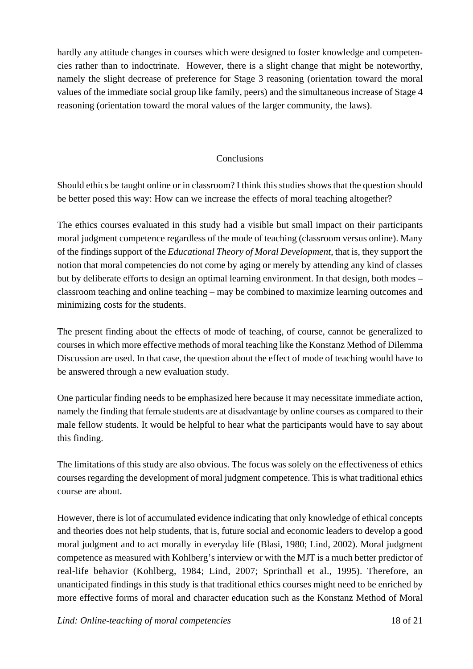hardly any attitude changes in courses which were designed to foster knowledge and competencies rather than to indoctrinate. However, there is a slight change that might be noteworthy, namely the slight decrease of preference for Stage 3 reasoning (orientation toward the moral values of the immediate social group like family, peers) and the simultaneous increase of Stage 4 reasoning (orientation toward the moral values of the larger community, the laws).

## **Conclusions**

Should ethics be taught online or in classroom? I think this studies shows that the question should be better posed this way: How can we increase the effects of moral teaching altogether?

The ethics courses evaluated in this study had a visible but small impact on their participants moral judgment competence regardless of the mode of teaching (classroom versus online). Many of the findings support of the *Educational Theory of Moral Development*, that is, they support the notion that moral competencies do not come by aging or merely by attending any kind of classes but by deliberate efforts to design an optimal learning environment. In that design, both modes – classroom teaching and online teaching – may be combined to maximize learning outcomes and minimizing costs for the students.

The present finding about the effects of mode of teaching, of course, cannot be generalized to courses in which more effective methods of moral teaching like the Konstanz Method of Dilemma Discussion are used. In that case, the question about the effect of mode of teaching would have to be answered through a new evaluation study.

One particular finding needs to be emphasized here because it may necessitate immediate action, namely the finding that female students are at disadvantage by online courses as compared to their male fellow students. It would be helpful to hear what the participants would have to say about this finding.

The limitations of this study are also obvious. The focus was solely on the effectiveness of ethics courses regarding the development of moral judgment competence. This is what traditional ethics course are about.

However, there is lot of accumulated evidence indicating that only knowledge of ethical concepts and theories does not help students, that is, future social and economic leaders to develop a good moral judgment and to act morally in everyday life (Blasi, 1980; Lind, 2002). Moral judgment competence as measured with Kohlberg's interview or with the MJT is a much better predictor of real-life behavior (Kohlberg, 1984; Lind, 2007; Sprinthall et al., 1995). Therefore, an unanticipated findings in this study is that traditional ethics courses might need to be enriched by more effective forms of moral and character education such as the Konstanz Method of Moral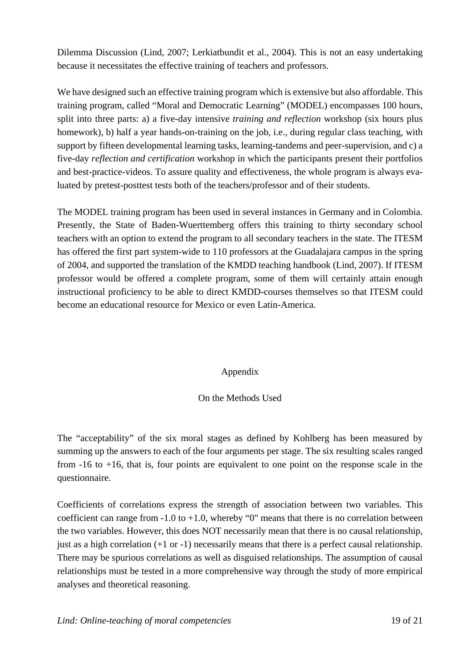Dilemma Discussion (Lind, 2007; Lerkiatbundit et al., 2004). This is not an easy undertaking because it necessitates the effective training of teachers and professors.

We have designed such an effective training program which is extensive but also affordable. This training program, called "Moral and Democratic Learning" (MODEL) encompasses 100 hours, split into three parts: a) a five-day intensive *training and reflection* workshop (six hours plus homework), b) half a year hands-on-training on the job, i.e., during regular class teaching, with support by fifteen developmental learning tasks, learning-tandems and peer-supervision, and c) a five-day *reflection and certification* workshop in which the participants present their portfolios and best-practice-videos. To assure quality and effectiveness, the whole program is always evaluated by pretest-posttest tests both of the teachers/professor and of their students.

The MODEL training program has been used in several instances in Germany and in Colombia. Presently, the State of Baden-Wuerttemberg offers this training to thirty secondary school teachers with an option to extend the program to all secondary teachers in the state. The ITESM has offered the first part system-wide to 110 professors at the Guadalajara campus in the spring of 2004, and supported the translation of the KMDD teaching handbook (Lind, 2007). If ITESM professor would be offered a complete program, some of them will certainly attain enough instructional proficiency to be able to direct KMDD-courses themselves so that ITESM could become an educational resource for Mexico or even Latin-America.

## Appendix

## On the Methods Used

The "acceptability" of the six moral stages as defined by Kohlberg has been measured by summing up the answers to each of the four arguments per stage. The six resulting scales ranged from -16 to +16, that is, four points are equivalent to one point on the response scale in the questionnaire.

Coefficients of correlations express the strength of association between two variables. This coefficient can range from  $-1.0$  to  $+1.0$ , whereby "0" means that there is no correlation between the two variables. However, this does NOT necessarily mean that there is no causal relationship, just as a high correlation  $(+1 \text{ or } -1)$  necessarily means that there is a perfect causal relationship. There may be spurious correlations as well as disguised relationships. The assumption of causal relationships must be tested in a more comprehensive way through the study of more empirical analyses and theoretical reasoning.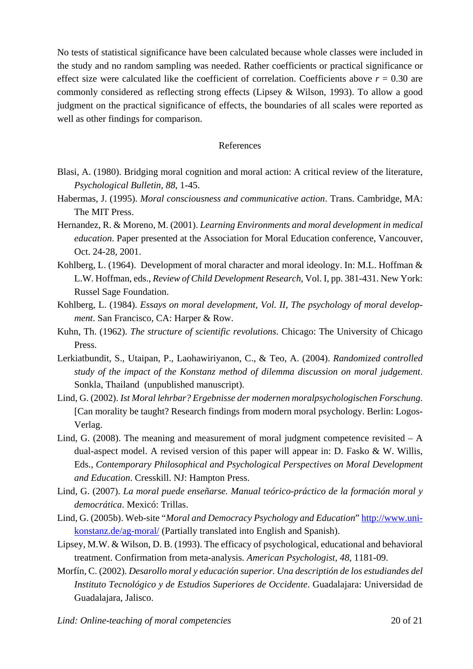No tests of statistical significance have been calculated because whole classes were included in the study and no random sampling was needed. Rather coefficients or practical significance or effect size were calculated like the coefficient of correlation. Coefficients above  $r = 0.30$  are commonly considered as reflecting strong effects (Lipsey & Wilson, 1993). To allow a good judgment on the practical significance of effects, the boundaries of all scales were reported as well as other findings for comparison.

#### References

- Blasi, A. (1980). Bridging moral cognition and moral action: A critical review of the literature, *Psychological Bulletin, 88*, 1-45.
- Habermas, J. (1995). *Moral consciousness and communicative action*. Trans. Cambridge, MA: The MIT Press.
- Hernandez, R. & Moreno, M. (2001). *Learning Environments and moral development in medical education*. Paper presented at the Association for Moral Education conference, Vancouver, Oct. 24-28, 2001.
- Kohlberg, L. (1964). Development of moral character and moral ideology. In: M.L. Hoffman & L.W. Hoffman, eds., *Review of Child Development Research*, Vol. I, pp. 381-431. New York: Russel Sage Foundation.
- Kohlberg, L. (1984). *Essays on moral development, Vol. II, The psychology of moral development*. San Francisco, CA: Harper & Row.
- Kuhn, Th. (1962). *The structure of scientific revolutions*. Chicago: The University of Chicago Press.
- Lerkiatbundit, S., Utaipan, P., Laohawiriyanon, C., & Teo, A. (2004). *Randomized controlled study of the impact of the Konstanz method of dilemma discussion on moral judgement*. Sonkla, Thailand (unpublished manuscript).
- Lind, G. (2002). *Ist Moral lehrbar? Ergebnisse der modernen moralpsychologischen Forschung*. [Can morality be taught? Research findings from modern moral psychology. Berlin: Logos-Verlag.
- Lind, G. (2008). The meaning and measurement of moral judgment competence revisited  $A$ dual-aspect model. A revised version of this paper will appear in: D. Fasko & W. Willis, Eds., *Contemporary Philosophical and Psychological Perspectives on Moral Development and Education*. Cresskill. NJ: Hampton Press.
- Lind, G. (2007). *La moral puede enseñarse. Manual teórico-práctico de la formación moral y democrática*. Mexicó: Trillas.
- Lind, G. (2005b). Web-site "*Moral and Democracy Psychology and Education*" http://www.unikonstanz.de/ag-moral/ (Partially translated into English and Spanish).
- Lipsey, M.W. & Wilson, D. B. (1993). The efficacy of psychological, educational and behavioral treatment. Confirmation from meta-analysis. *American Psychologist, 48*, 1181-09.
- Morfín, C. (2002). *Desarollo moral y educación superior. Una descriptión de los estudiandes del Instituto Tecnológico y de Estudios Superiores de Occidente*. Guadalajara: Universidad de Guadalajara, Jalisco.

*Lind: Online-teaching of moral competencies* 20 of 21